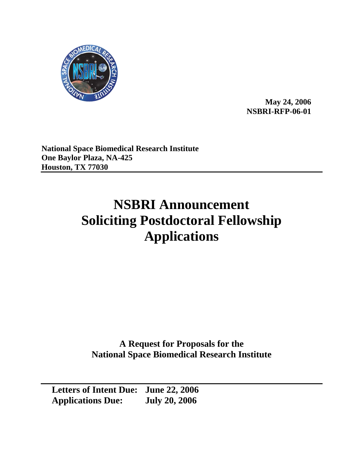

**May 24, 2006 NSBRI-RFP-06-01** 

**National Space Biomedical Research Institute One Baylor Plaza, NA-425 Houston, TX 77030** 

# **NSBRI Announcement Soliciting Postdoctoral Fellowship Applications**

**A Request for Proposals for the National Space Biomedical Research Institute** 

**Letters of Intent Due: June 22, 2006 Applications Due: July 20, 2006**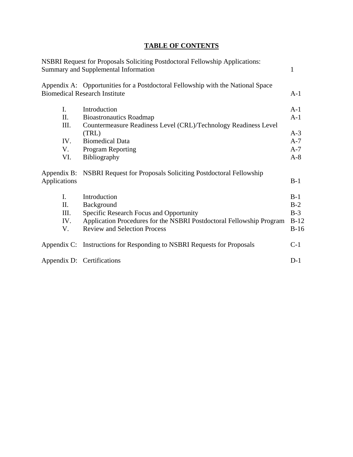# **TABLE OF CONTENTS**

|                             | <b>NSBRI Request for Proposals Soliciting Postdoctoral Fellowship Applications:</b><br>Summary and Supplemental Information | 1      |
|-----------------------------|-----------------------------------------------------------------------------------------------------------------------------|--------|
|                             | Appendix A: Opportunities for a Postdoctoral Fellowship with the National Space<br><b>Biomedical Research Institute</b>     | $A-1$  |
| I.                          | Introduction                                                                                                                | $A-1$  |
| П.                          | <b>Bioastronautics Roadmap</b>                                                                                              | $A-1$  |
| III.                        | Countermeasure Readiness Level (CRL)/Technology Readiness Level                                                             |        |
|                             | (TRL)                                                                                                                       | $A-3$  |
| IV.                         | <b>Biomedical Data</b>                                                                                                      | $A-7$  |
| V.                          | <b>Program Reporting</b>                                                                                                    | $A-7$  |
| VI.                         | Bibliography                                                                                                                | $A-8$  |
| Appendix B:<br>Applications | NSBRI Request for Proposals Soliciting Postdoctoral Fellowship                                                              | $B-1$  |
| I.                          | Introduction                                                                                                                | $B-1$  |
| Π.                          | Background                                                                                                                  | $B-2$  |
| III.                        | Specific Research Focus and Opportunity                                                                                     | $B-3$  |
| IV.                         | Application Procedures for the NSBRI Postdoctoral Fellowship Program                                                        | $B-12$ |
| V.                          | <b>Review and Selection Process</b>                                                                                         | $B-16$ |
|                             | Appendix C: Instructions for Responding to NSBRI Requests for Proposals                                                     | $C-1$  |
|                             | Appendix D: Certifications                                                                                                  | $D-1$  |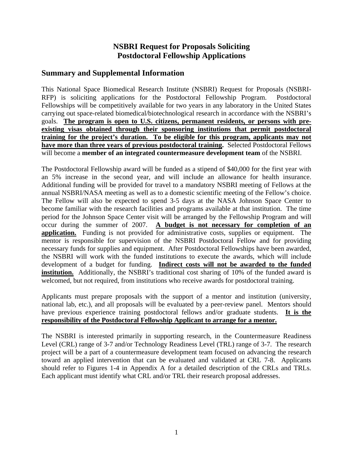# **NSBRI Request for Proposals Soliciting Postdoctoral Fellowship Applications**

## **Summary and Supplemental Information**

This National Space Biomedical Research Institute (NSBRI) Request for Proposals (NSBRI-RFP) is soliciting applications for the Postdoctoral Fellowship Program. Postdoctoral Fellowships will be competitively available for two years in any laboratory in the United States carrying out space-related biomedical/biotechnological research in accordance with the NSBRI's goals. **The program is open to U.S. citizens, permanent residents, or persons with preexisting visas obtained through their sponsoring institutions that permit postdoctoral training for the project's duration. To be eligible for this program, applicants may not have more than three years of previous postdoctoral training.** Selected Postdoctoral Fellows will become a **member of an integrated countermeasure development team** of the NSBRI.

The Postdoctoral Fellowship award will be funded as a stipend of \$40,000 for the first year with an 5% increase in the second year, and will include an allowance for health insurance. Additional funding will be provided for travel to a mandatory NSBRI meeting of Fellows at the annual NSBRI/NASA meeting as well as to a domestic scientific meeting of the Fellow's choice. The Fellow will also be expected to spend 3-5 days at the NASA Johnson Space Center to become familiar with the research facilities and programs available at that institution. The time period for the Johnson Space Center visit will be arranged by the Fellowship Program and will occur during the summer of 2007. **A budget is not necessary for completion of an application.** Funding is not provided for administrative costs, supplies or equipment. The mentor is responsible for supervision of the NSBRI Postdoctoral Fellow and for providing necessary funds for supplies and equipment. After Postdoctoral Fellowships have been awarded, the NSBRI will work with the funded institutions to execute the awards, which will include development of a budget for funding. **Indirect costs will not be awarded to the funded institution.** Additionally, the NSBRI's traditional cost sharing of 10% of the funded award is welcomed, but not required, from institutions who receive awards for postdoctoral training.

Applicants must prepare proposals with the support of a mentor and institution (university, national lab, etc.), and all proposals will be evaluated by a peer-review panel. Mentors should have previous experience training postdoctoral fellows and/or graduate students. **It is the responsibility of the Postdoctoral Fellowship Applicant to arrange for a mentor.**

The NSBRI is interested primarily in supporting research, in the Countermeasure Readiness Level (CRL) range of 3-7 and/or Technology Readiness Level (TRL) range of 3-7. The research project will be a part of a countermeasure development team focused on advancing the research toward an applied intervention that can be evaluated and validated at CRL 7-8. Applicants should refer to Figures 1-4 in Appendix A for a detailed description of the CRLs and TRLs. Each applicant must identify what CRL and/or TRL their research proposal addresses.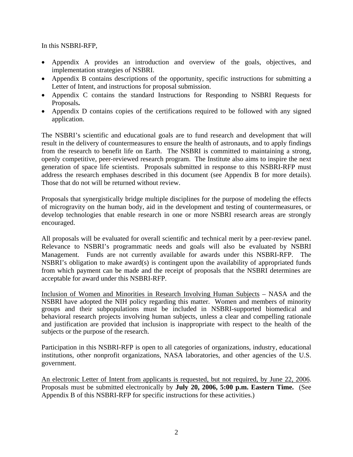In this NSBRI-RFP,

- Appendix A provides an introduction and overview of the goals, objectives, and implementation strategies of NSBRI.
- Appendix B contains descriptions of the opportunity, specific instructions for submitting a Letter of Intent, and instructions for proposal submission.
- Appendix C contains the standard Instructions for Responding to NSBRI Requests for Proposals**.**
- Appendix D contains copies of the certifications required to be followed with any signed application.

The NSBRI's scientific and educational goals are to fund research and development that will result in the delivery of countermeasures to ensure the health of astronauts, and to apply findings from the research to benefit life on Earth. The NSBRI is committed to maintaining a strong, openly competitive, peer-reviewed research program. The Institute also aims to inspire the next generation of space life scientists. Proposals submitted in response to this NSBRI-RFP must address the research emphases described in this document (see Appendix B for more details). Those that do not will be returned without review.

Proposals that synergistically bridge multiple disciplines for the purpose of modeling the effects of microgravity on the human body, aid in the development and testing of countermeasures, or develop technologies that enable research in one or more NSBRI research areas are strongly encouraged.

All proposals will be evaluated for overall scientific and technical merit by a peer-review panel. Relevance to NSBRI's programmatic needs and goals will also be evaluated by NSBRI Management. Funds are not currently available for awards under this NSBRI-RFP. The NSBRI's obligation to make award(s) is contingent upon the availability of appropriated funds from which payment can be made and the receipt of proposals that the NSBRI determines are acceptable for award under this NSBRI-RFP.

Inclusion of Women and Minorities in Research Involving Human Subjects – NASA and the NSBRI have adopted the NIH policy regarding this matter. Women and members of minority groups and their subpopulations must be included in NSBRI-supported biomedical and behavioral research projects involving human subjects, unless a clear and compelling rationale and justification are provided that inclusion is inappropriate with respect to the health of the subjects or the purpose of the research.

Participation in this NSBRI-RFP is open to all categories of organizations, industry, educational institutions, other nonprofit organizations, NASA laboratories, and other agencies of the U.S. government.

An electronic Letter of Intent from applicants is requested, but not required, by June 22, 2006. Proposals must be submitted electronically by **July 20, 2006, 5:00 p.m. Eastern Time.** (See Appendix B of this NSBRI-RFP for specific instructions for these activities.)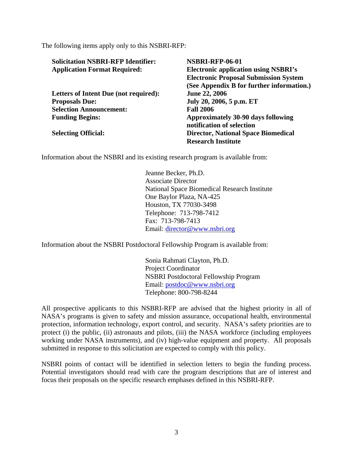The following items apply only to this NSBRI-RFP:

| <b>Solicitation NSBRI-RFP Identifier:</b> | <b>NSBRI-RFP-06-01</b>                       |  |  |
|-------------------------------------------|----------------------------------------------|--|--|
| <b>Application Format Required:</b>       | <b>Electronic application using NSBRI's</b>  |  |  |
|                                           | <b>Electronic Proposal Submission System</b> |  |  |
|                                           | (See Appendix B for further information.)    |  |  |
| Letters of Intent Due (not required):     | June 22, 2006                                |  |  |
| <b>Proposals Due:</b>                     | July 20, 2006, 5 p.m. ET                     |  |  |
| <b>Selection Announcement:</b>            | <b>Fall 2006</b>                             |  |  |
| <b>Funding Begins:</b>                    | Approximately 30-90 days following           |  |  |
|                                           | notification of selection                    |  |  |
| <b>Selecting Official:</b>                | <b>Director, National Space Biomedical</b>   |  |  |
|                                           | <b>Research Institute</b>                    |  |  |

Information about the NSBRI and its existing research program is available from:

Jeanne Becker, Ph.D. Associate Director National Space Biomedical Research Institute One Baylor Plaza, NA-425 Houston, TX 77030-3498 Telephone: 713-798-7412 Fax: 713-798-7413 Email: [director@www.nsbri.org](mailto:director@www.nsbri.org)

Information about the NSBRI Postdoctoral Fellowship Program is available from:

 Sonia Rahmati Clayton, Ph.D. Project Coordinator NSBRI Postdoctoral Fellowship Program Email: [postdoc@www.nsbri.org](mailto:postdoc@www.nsbri.org) Telephone: 800-798-8244

All prospective applicants to this NSBRI-RFP are advised that the highest priority in all of NASA's programs is given to safety and mission assurance, occupational health, environmental protection, information technology, export control, and security. NASA's safety priorities are to protect (i) the public, (ii) astronauts and pilots, (iii) the NASA workforce (including employees working under NASA instruments), and (iv) high-value equipment and property. All proposals submitted in response to this solicitation are expected to comply with this policy.

NSBRI points of contact will be identified in selection letters to begin the funding process. Potential investigators should read with care the program descriptions that are of interest and focus their proposals on the specific research emphases defined in this NSBRI-RFP.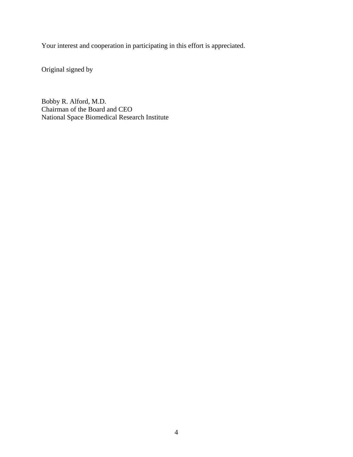Your interest and cooperation in participating in this effort is appreciated.

Original signed by

Bobby R. Alford, M.D. Chairman of the Board and CEO National Space Biomedical Research Institute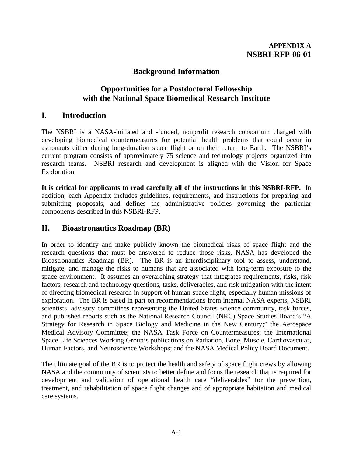# **Background Information**

# **Opportunities for a Postdoctoral Fellowship with the National Space Biomedical Research Institute**

# **I. Introduction**

The NSBRI is a NASA-initiated and -funded, nonprofit research consortium charged with developing biomedical countermeasures for potential health problems that could occur in astronauts either during long-duration space flight or on their return to Earth. The NSBRI's current program consists of approximately 75 science and technology projects organized into research teams. NSBRI research and development is aligned with the Vision for Space Exploration.

**It is critical for applicants to read carefully all of the instructions in this NSBRI-RFP.** In addition, each Appendix includes guidelines, requirements, and instructions for preparing and submitting proposals, and defines the administrative policies governing the particular components described in this NSBRI-RFP.

# **II. Bioastronautics Roadmap (BR)**

In order to identify and make publicly known the biomedical risks of space flight and the research questions that must be answered to reduce those risks, NASA has developed the Bioastronautics Roadmap (BR). The BR is an interdisciplinary tool to assess, understand, mitigate, and manage the risks to humans that are associated with long-term exposure to the space environment. It assumes an overarching strategy that integrates requirements, risks, risk factors, research and technology questions, tasks, deliverables, and risk mitigation with the intent of directing biomedical research in support of human space flight, especially human missions of exploration. The BR is based in part on recommendations from internal NASA experts, NSBRI scientists, advisory committees representing the United States science community, task forces, and published reports such as the National Research Council (NRC) Space Studies Board's "A Strategy for Research in Space Biology and Medicine in the New Century;" the Aerospace Medical Advisory Committee; the NASA Task Force on Countermeasures; the International Space Life Sciences Working Group's publications on Radiation, Bone, Muscle, Cardiovascular, Human Factors, and Neuroscience Workshops; and the NASA Medical Policy Board Document.

The ultimate goal of the BR is to protect the health and safety of space flight crews by allowing NASA and the community of scientists to better define and focus the research that is required for development and validation of operational health care "deliverables" for the prevention, treatment, and rehabilitation of space flight changes and of appropriate habitation and medical care systems.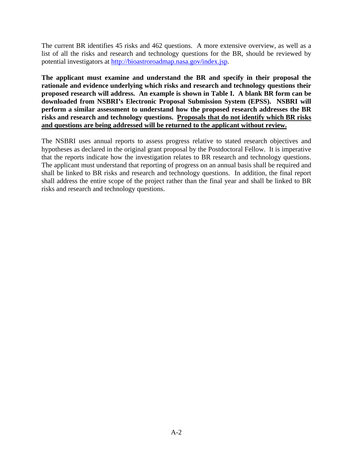The current BR identifies 45 risks and 462 questions. A more extensive overview, as well as a list of all the risks and research and technology questions for the BR, should be reviewed by potential investigators at [http://bioastroroadmap.nasa.gov/index.jsp.](http://bioastroroadmap.nasa.gov/index.jsp)

**The applicant must examine and understand the BR and specify in their proposal the rationale and evidence underlying which risks and research and technology questions their proposed research will address. An example is shown in Table I. A blank BR form can be downloaded from NSBRI's Electronic Proposal Submission System (EPSS). NSBRI will perform a similar assessment to understand how the proposed research addresses the BR risks and research and technology questions. Proposals that do not identify which BR risks and questions are being addressed will be returned to the applicant without review.**

The NSBRI uses annual reports to assess progress relative to stated research objectives and hypotheses as declared in the original grant proposal by the Postdoctoral Fellow. It is imperative that the reports indicate how the investigation relates to BR research and technology questions. The applicant must understand that reporting of progress on an annual basis shall be required and shall be linked to BR risks and research and technology questions. In addition, the final report shall address the entire scope of the project rather than the final year and shall be linked to BR risks and research and technology questions.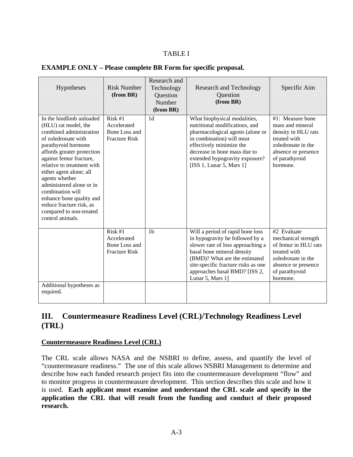## TABLE I

| Hypotheses                                                                                                                                                                                                                                                                                                                                                                                                           | <b>Risk Number</b><br>(from BR)                                 | Research and<br>Technology<br>Question<br>Number<br>(from BR) | <b>Research and Technology</b><br>Ouestion<br>(from BR)                                                                                                                                                                                                             | Specific Aim                                                                                                                                           |
|----------------------------------------------------------------------------------------------------------------------------------------------------------------------------------------------------------------------------------------------------------------------------------------------------------------------------------------------------------------------------------------------------------------------|-----------------------------------------------------------------|---------------------------------------------------------------|---------------------------------------------------------------------------------------------------------------------------------------------------------------------------------------------------------------------------------------------------------------------|--------------------------------------------------------------------------------------------------------------------------------------------------------|
| In the hindlimb unloaded<br>(HLU) rat model, the<br>combined administration<br>of zoledronate with<br>parathyroid hormone<br>affords greater protection<br>against femur fracture,<br>relative to treatment with<br>either agent alone; all<br>agents whether<br>administered alone or in<br>combination will<br>enhance bone quality and<br>reduce fracture risk, as<br>compared to non-treated<br>control animals. | Risk #1<br>Accelerated<br>Bone Loss and<br><b>Fracture Risk</b> | 1 <sub>d</sub>                                                | What biophysical modalities,<br>nutritional modifications, and<br>pharmacological agents (alone or<br>in combination) will most<br>effectively minimize the<br>decrease in bone mass due to<br>extended hypogravity exposure?<br>[ISS 1, Lunar 5, Mars 1]           | #1: Measure bone<br>mass and mineral<br>density in HLU rats<br>treated with<br>zoledronate in the<br>absence or presence<br>of parathyroid<br>hormone. |
| Additional hypotheses as<br>required.                                                                                                                                                                                                                                                                                                                                                                                | Risk #1<br>Accelerated<br>Bone Loss and<br><b>Fracture Risk</b> | 1 <sub>b</sub>                                                | Will a period of rapid bone loss<br>in hypogravity be followed by a<br>slower rate of loss approaching a<br>basal bone mineral density<br>(BMD)? What are the estimated<br>site-specific fracture risks as one<br>approaches basal BMD? [ISS 2,<br>Lunar 5, Mars 1] | #2 Evaluate<br>mechanical strength<br>of femur in HLU rats<br>treated with<br>zoledronate in the<br>absence or presence<br>of parathyroid<br>hormone.  |

# **III. Countermeasure Readiness Level (CRL)/Technology Readiness Level (TRL)**

#### **Countermeasure Readiness Level (CRL)**

The CRL scale allows NASA and the NSBRI to define, assess, and quantify the level of "countermeasure readiness." The use of this scale allows NSBRI Management to determine and describe how each funded research project fits into the countermeasure development "flow" and to monitor progress in countermeasure development. This section describes this scale and how it is used. **Each applicant must examine and understand the CRL scale and specify in the application the CRL that will result from the funding and conduct of their proposed research.**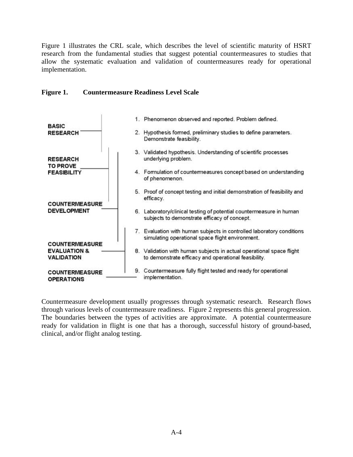Figure 1 illustrates the CRL scale, which describes the level of scientific maturity of HSRT research from the fundamental studies that suggest potential countermeasures to studies that allow the systematic evaluation and validation of countermeasures ready for operational implementation.

#### **Figure 1. Countermeasure Readiness Level Scale**



Countermeasure development usually progresses through systematic research. Research flows through various levels of countermeasure readiness. Figure 2 represents this general progression. The boundaries between the types of activities are approximate. A potential countermeasure ready for validation in flight is one that has a thorough, successful history of ground-based, clinical, and/or flight analog testing.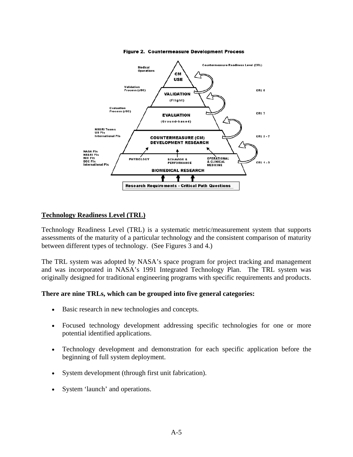

Figure 2. Countermeasure Development Process

#### **Technology Readiness Level (TRL)**

Technology Readiness Level (TRL) is a systematic metric/measurement system that supports assessments of the maturity of a particular technology and the consistent comparison of maturity between different types of technology. (See Figures 3 and 4.)

The TRL system was adopted by NASA's space program for project tracking and management and was incorporated in NASA's 1991 Integrated Technology Plan. The TRL system was originally designed for traditional engineering programs with specific requirements and products.

#### **There are nine TRLs, which can be grouped into five general categories:**

- Basic research in new technologies and concepts.
- Focused technology development addressing specific technologies for one or more potential identified applications.
- Technology development and demonstration for each specific application before the beginning of full system deployment.
- System development (through first unit fabrication).
- System 'launch' and operations.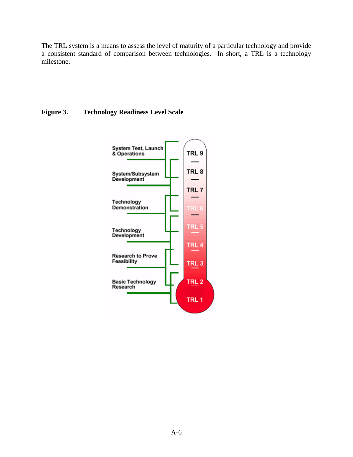The TRL system is a means to assess the level of maturity of a particular technology and provide a consistent standard of comparison between technologies. In short, a TRL is a technology milestone.

## **Figure 3. Technology Readiness Level Scale**

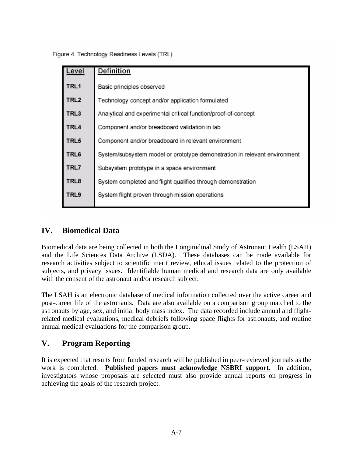Figure 4. Technology Readiness Levels (TRL)

| <u>Level</u>     | <b>Definition</b>                                                         |  |  |  |
|------------------|---------------------------------------------------------------------------|--|--|--|
| TRL1             | Basic principles observed                                                 |  |  |  |
| TRL <sub>2</sub> | Technology concept and/or application formulated                          |  |  |  |
| TRL3             | Analytical and experimental critical function/proof-of-concept            |  |  |  |
| TRL4             | Component and/or breadboard validation in lab                             |  |  |  |
| TRL5             | Component and/or breadboard in relevant environment                       |  |  |  |
| TRL6             | System/subsystem model or prototype demonstration in relevant environment |  |  |  |
| TRL7             | Subsystem prototype in a space environment                                |  |  |  |
| TRL8             | System completed and flight qualified through demonstration               |  |  |  |
| TRL9             | System flight proven through mission operations                           |  |  |  |

# **IV. Biomedical Data**

Biomedical data are being collected in both the Longitudinal Study of Astronaut Health (LSAH) and the Life Sciences Data Archive (LSDA). These databases can be made available for research activities subject to scientific merit review, ethical issues related to the protection of subjects, and privacy issues. Identifiable human medical and research data are only available with the consent of the astronaut and/or research subject.

The LSAH is an electronic database of medical information collected over the active career and post-career life of the astronauts. Data are also available on a comparison group matched to the astronauts by age, sex, and initial body mass index. The data recorded include annual and flightrelated medical evaluations, medical debriefs following space flights for astronauts, and routine annual medical evaluations for the comparison group.

# **V. Program Reporting**

It is expected that results from funded research will be published in peer-reviewed journals as the work is completed. **Published papers must acknowledge NSBRI support.** In addition, investigators whose proposals are selected must also provide annual reports on progress in achieving the goals of the research project.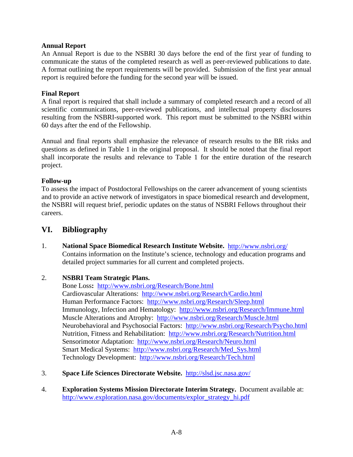## **Annual Report**

An Annual Report is due to the NSBRI 30 days before the end of the first year of funding to communicate the status of the completed research as well as peer-reviewed publications to date. A format outlining the report requirements will be provided. Submission of the first year annual report is required before the funding for the second year will be issued.

#### **Final Report**

A final report is required that shall include a summary of completed research and a record of all scientific communications, peer-reviewed publications, and intellectual property disclosures resulting from the NSBRI-supported work. This report must be submitted to the NSBRI within 60 days after the end of the Fellowship.

Annual and final reports shall emphasize the relevance of research results to the BR risks and questions as defined in Table 1 in the original proposal. It should be noted that the final report shall incorporate the results and relevance to Table 1 for the entire duration of the research project.

## **Follow-up**

To assess the impact of Postdoctoral Fellowships on the career advancement of young scientists and to provide an active network of investigators in space biomedical research and development, the NSBRI will request brief, periodic updates on the status of NSBRI Fellows throughout their careers.

## **VI. Bibliography**

1. **National Space Biomedical Research Institute Website.** <http://www.nsbri.org/> Contains information on the Institute's science, technology and education programs and detailed project summaries for all current and completed projects.

## 2. **NSBRI Team Strategic Plans.**

Bone Loss**:** <http://www.nsbri.org/Research/Bone.html> Cardiovascular Alterations: <http://www.nsbri.org/Research/Cardio.html> Human Performance Factors: <http://www.nsbri.org/Research/Sleep.html> Immunology, Infection and Hematology: <http://www.nsbri.org/Research/Immune.html> Muscle Alterations and Atrophy: <http://www.nsbri.org/Research/Muscle.html> Neurobehavioral and Psychosocial Factors: <http://www.nsbri.org/Research/Psycho.html> Nutrition, Fitness and Rehabilitation: <http://www.nsbri.org/Research/Nutrition.html> Sensorimotor Adaptation: <http://www.nsbri.org/Research/Neuro.html> Smart Medical Systems: [http://www.nsbri.org/Research/Med\\_Sys.html](http://www.nsbri.org/Research/Med_Sys.html) Technology Development: <http://www.nsbri.org/Research/Tech.html>

- 3. **Space Life Sciences Directorate Website.** <http://slsd.jsc.nasa.gov/>
- 4. **Exploration Systems Mission Directorate Interim Strategy.** Document available at: [http://www.exploration.nasa.gov/documents/explor\\_strategy\\_hi.pdf](http://www.exploration.nasa.gov/documents/explor_strategy_hi.pdf)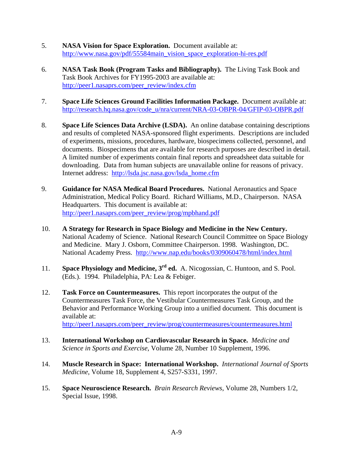- 5. **NASA Vision for Space Exploration.** Document available at: [http://www.nasa.gov/pdf/55584main\\_vision\\_space\\_exploration-hi-res.pdf](http://www.nasa.gov/pdf/55584main_vision_space_exploration-hi-res.pdf)
- 6. **NASA Task Book (Program Tasks and Bibliography).** The Living Task Book and Task Book Archives for FY1995-2003 are available at: [http://peer1.nasaprs.com/peer\\_review/index.cfm](http://peer1.nasaprs.com/peer_review/index.cfm)
- 7. **Space Life Sciences Ground Facilities Information Package.** Document available at: [http://research.hq.nasa.gov/code\\_u/nra/current/NRA-03-OBPR-04/GFIP-03-OBPR.pdf](http://research.hq.nasa.gov/code_u/nra/current/NRA-03-OBPR-04/GFIP-03-OBPR.pdf)
- 8. **Space Life Sciences Data Archive (LSDA).** An online database containing descriptions and results of completed NASA-sponsored flight experiments. Descriptions are included of experiments, missions, procedures, hardware, biospecimens collected, personnel, and documents. Biospecimens that are available for research purposes are described in detail. A limited number of experiments contain final reports and spreadsheet data suitable for downloading. Data from human subjects are unavailable online for reasons of privacy. Internet address: [http://lsda.jsc.nasa.gov/lsda\\_home.cfm](http://lsda.jsc.nasa.gov/lsda_home.cfm)
- 9. **Guidance for NASA Medical Board Procedures.** National Aeronautics and Space Administration, Medical Policy Board. Richard Williams, M.D., Chairperson. NASA Headquarters. This document is available at: [http://peer1.nasaprs.com/peer\\_review/prog/mpbhand.pdf](http://peer1.nasaprs.com/peer_review/prog/mpbhand.pdf)
- 10. **A Strategy for Research in Space Biology and Medicine in the New Century.** National Academy of Science. National Research Council Committee on Space Biology and Medicine. Mary J. Osborn, Committee Chairperson. 1998. Washington, DC. National Academy Press. <http://www.nap.edu/books/0309060478/html/index.html>
- 11. **Space Physiology and Medicine, 3rd ed.** A. Nicogossian, C. Huntoon, and S. Pool. (Eds.). 1994. Philadelphia, PA: Lea & Febiger.
- 12. **Task Force on Countermeasures.** This report incorporates the output of the Countermeasures Task Force, the Vestibular Countermeasures Task Group, and the Behavior and Performance Working Group into a unified document. This document is available at: [http://peer1.nasaprs.com/peer\\_review/prog/countermeasures/countermeasures.html](http://peer1.nasaprs.com/peer_review/prog/countermeasures/countermeasures.html)
- 13. **International Workshop on Cardiovascular Research in Space.** *Medicine and*
- *Science in Sports and Exercise*, Volume 28, Number 10 Supplement, 1996.
- 14. **Muscle Research in Space: International Workshop.** *International Journal of Sports Medicine*, Volume 18, Supplement 4, S257-S331, 1997.
- 15. **Space Neuroscience Research.** *Brain Research Reviews*, Volume 28, Numbers 1/2, Special Issue, 1998.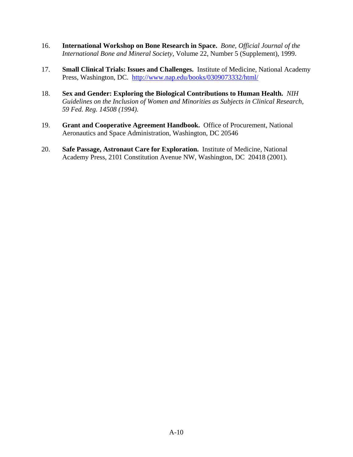- 16. **International Workshop on Bone Research in Space.** *Bone, Official Journal of the International Bone and Mineral Society*, Volume 22, Number 5 (Supplement), 1999.
- 17. **Small Clinical Trials: Issues and Challenges.** Institute of Medicine, National Academy Press, Washington, DC. <http://www.nap.edu/books/0309073332/html/>
- 18. **Sex and Gender: Exploring the Biological Contributions to Human Health.** *NIH Guidelines on the Inclusion of Women and Minorities as Subjects in Clinical Research, 59 Fed. Reg. 14508 (1994).*
- 19. **Grant and Cooperative Agreement Handbook.** Office of Procurement, National Aeronautics and Space Administration, Washington, DC 20546
- 20. **Safe Passage, Astronaut Care for Exploration.** Institute of Medicine, National Academy Press, 2101 Constitution Avenue NW, Washington, DC 20418 (2001).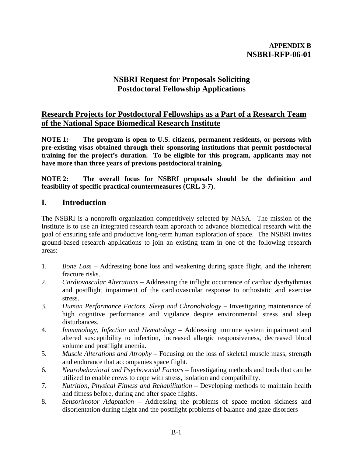# **NSBRI Request for Proposals Soliciting Postdoctoral Fellowship Applications**

# **Research Projects for Postdoctoral Fellowships as a Part of a Research Team of the National Space Biomedical Research Institute**

**NOTE 1: The program is open to U.S. citizens, permanent residents, or persons with pre-existing visas obtained through their sponsoring institutions that permit postdoctoral training for the project's duration. To be eligible for this program, applicants may not have more than three years of previous postdoctoral training.** 

**NOTE 2: The overall focus for NSBRI proposals should be the definition and feasibility of specific practical countermeasures (CRL 3-7).** 

# **I. Introduction**

The NSBRI is a nonprofit organization competitively selected by NASA. The mission of the Institute is to use an integrated research team approach to advance biomedical research with the goal of ensuring safe and productive long-term human exploration of space. The NSBRI invites ground-based research applications to join an existing team in one of the following research areas:

- 1. *Bone Loss* Addressing bone loss and weakening during space flight, and the inherent fracture risks.
- 2. *Cardiovascular Alterations* Addressing the inflight occurrence of cardiac dysrhythmias and postflight impairment of the cardiovascular response to orthostatic and exercise stress.
- 3. *Human Performance Factors, Sleep and Chronobiology* Investigating maintenance of high cognitive performance and vigilance despite environmental stress and sleep disturbances.
- 4. *Immunology, Infection and Hematology* Addressing immune system impairment and altered susceptibility to infection, increased allergic responsiveness, decreased blood volume and postflight anemia.
- 5. *Muscle Alterations and Atrophy* Focusing on the loss of skeletal muscle mass, strength and endurance that accompanies space flight.
- 6. *Neurobehavioral and Psychosocial Factors* Investigating methods and tools that can be utilized to enable crews to cope with stress, isolation and compatibility.
- 7. *Nutrition, Physical Fitness and Rehabilitation*  Developing methods to maintain health and fitness before, during and after space flights.
- 8. *Sensorimotor Adaptation* Addressing the problems of space motion sickness and disorientation during flight and the postflight problems of balance and gaze disorders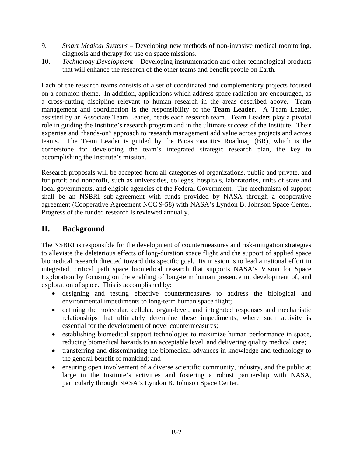- 9. *Smart Medical Systems*  Developing new methods of non-invasive medical monitoring, diagnosis and therapy for use on space missions.
- 10. *Technology Development* Developing instrumentation and other technological products that will enhance the research of the other teams and benefit people on Earth.

Each of the research teams consists of a set of coordinated and complementary projects focused on a common theme. In addition, applications which address space radiation are encouraged, as a cross-cutting discipline relevant to human research in the areas described above. Team management and coordination is the responsibility of the **Team Leader**. A Team Leader, assisted by an Associate Team Leader, heads each research team. Team Leaders play a pivotal role in guiding the Institute's research program and in the ultimate success of the Institute. Their expertise and "hands-on" approach to research management add value across projects and across teams. The Team Leader is guided by the Bioastronautics Roadmap (BR), which is the cornerstone for developing the team's integrated strategic research plan, the key to accomplishing the Institute's mission.

Research proposals will be accepted from all categories of organizations, public and private, and for profit and nonprofit, such as universities, colleges, hospitals, laboratories, units of state and local governments, and eligible agencies of the Federal Government. The mechanism of support shall be an NSBRI sub-agreement with funds provided by NASA through a cooperative agreement (Cooperative Agreement NCC 9-58) with NASA's Lyndon B. Johnson Space Center. Progress of the funded research is reviewed annually.

# **II. Background**

The NSBRI is responsible for the development of countermeasures and risk-mitigation strategies to alleviate the deleterious effects of long-duration space flight and the support of applied space biomedical research directed toward this specific goal. Its mission is to lead a national effort in integrated, critical path space biomedical research that supports NASA's Vision for Space Exploration by focusing on the enabling of long-term human presence in, development of, and exploration of space. This is accomplished by:

- designing and testing effective countermeasures to address the biological and environmental impediments to long-term human space flight;
- defining the molecular, cellular, organ-level, and integrated responses and mechanistic relationships that ultimately determine these impediments, where such activity is essential for the development of novel countermeasures;
- establishing biomedical support technologies to maximize human performance in space, reducing biomedical hazards to an acceptable level, and delivering quality medical care;
- transferring and disseminating the biomedical advances in knowledge and technology to the general benefit of mankind; and
- ensuring open involvement of a diverse scientific community, industry, and the public at large in the Institute's activities and fostering a robust partnership with NASA, particularly through NASA's Lyndon B. Johnson Space Center.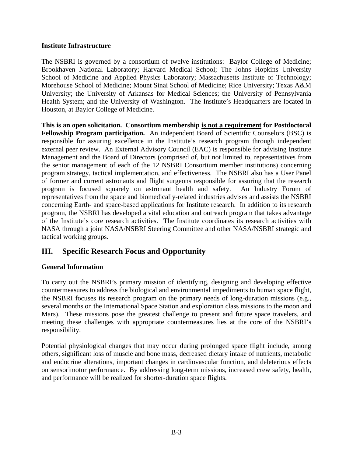## **Institute Infrastructure**

The NSBRI is governed by a consortium of twelve institutions: Baylor College of Medicine; Brookhaven National Laboratory; Harvard Medical School; The Johns Hopkins University School of Medicine and Applied Physics Laboratory; Massachusetts Institute of Technology; Morehouse School of Medicine; Mount Sinai School of Medicine; Rice University; Texas A&M University; the University of Arkansas for Medical Sciences; the University of Pennsylvania Health System; and the University of Washington. The Institute's Headquarters are located in Houston, at Baylor College of Medicine.

**This is an open solicitation. Consortium membership is not a requirement for Postdoctoral Fellowship Program participation.** An independent Board of Scientific Counselors (BSC) is responsible for assuring excellence in the Institute's research program through independent external peer review. An External Advisory Council (EAC) is responsible for advising Institute Management and the Board of Directors (comprised of, but not limited to, representatives from the senior management of each of the 12 NSBRI Consortium member institutions) concerning program strategy, tactical implementation, and effectiveness. The NSBRI also has a User Panel of former and current astronauts and flight surgeons responsible for assuring that the research program is focused squarely on astronaut health and safety. An Industry Forum of representatives from the space and biomedically-related industries advises and assists the NSBRI concerning Earth- and space-based applications for Institute research. In addition to its research program, the NSBRI has developed a vital education and outreach program that takes advantage of the Institute's core research activities. The Institute coordinates its research activities with NASA through a joint NASA/NSBRI Steering Committee and other NASA/NSBRI strategic and tactical working groups.

# **III. Specific Research Focus and Opportunity**

## **General Information**

To carry out the NSBRI's primary mission of identifying, designing and developing effective countermeasures to address the biological and environmental impediments to human space flight, the NSBRI focuses its research program on the primary needs of long-duration missions (e.g., several months on the International Space Station and exploration class missions to the moon and Mars). These missions pose the greatest challenge to present and future space travelers, and meeting these challenges with appropriate countermeasures lies at the core of the NSBRI's responsibility.

Potential physiological changes that may occur during prolonged space flight include, among others, significant loss of muscle and bone mass, decreased dietary intake of nutrients, metabolic and endocrine alterations, important changes in cardiovascular function, and deleterious effects on sensorimotor performance. By addressing long-term missions, increased crew safety, health, and performance will be realized for shorter-duration space flights.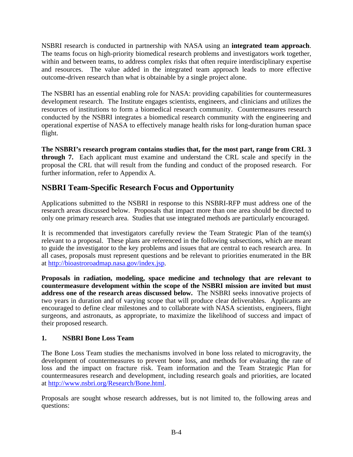NSBRI research is conducted in partnership with NASA using an **integrated team approach**. The teams focus on high-priority biomedical research problems and investigators work together, within and between teams, to address complex risks that often require interdisciplinary expertise and resources. The value added in the integrated team approach leads to more effective outcome-driven research than what is obtainable by a single project alone.

The NSBRI has an essential enabling role for NASA: providing capabilities for countermeasures development research. The Institute engages scientists, engineers, and clinicians and utilizes the resources of institutions to form a biomedical research community. Countermeasures research conducted by the NSBRI integrates a biomedical research community with the engineering and operational expertise of NASA to effectively manage health risks for long-duration human space flight.

**The NSBRI's research program contains studies that, for the most part, range from CRL 3 through 7.** Each applicant must examine and understand the CRL scale and specify in the proposal the CRL that will result from the funding and conduct of the proposed research. For further information, refer to Appendix A.

# **NSBRI Team-Specific Research Focus and Opportunity**

Applications submitted to the NSBRI in response to this NSBRI-RFP must address one of the research areas discussed below. Proposals that impact more than one area should be directed to only one primary research area. Studies that use integrated methods are particularly encouraged.

It is recommended that investigators carefully review the Team Strategic Plan of the team(s) relevant to a proposal. These plans are referenced in the following subsections, which are meant to guide the investigator to the key problems and issues that are central to each research area. In all cases, proposals must represent questions and be relevant to priorities enumerated in the BR at <http://bioastroroadmap.nasa.gov/index.jsp>.

**Proposals in radiation, modeling, space medicine and technology that are relevant to countermeasure development within the scope of the NSBRI mission are invited but must address one of the research areas discussed below.** The NSBRI seeks innovative projects of two years in duration and of varying scope that will produce clear deliverables. Applicants are encouraged to define clear milestones and to collaborate with NASA scientists, engineers, flight surgeons, and astronauts, as appropriate, to maximize the likelihood of success and impact of their proposed research.

## **1. NSBRI Bone Loss Team**

The Bone Loss Team studies the mechanisms involved in bone loss related to microgravity, the development of countermeasures to prevent bone loss, and methods for evaluating the rate of loss and the impact on fracture risk. Team information and the Team Strategic Plan for countermeasures research and development, including research goals and priorities, are located at <http://www.nsbri.org/Research/Bone.html>.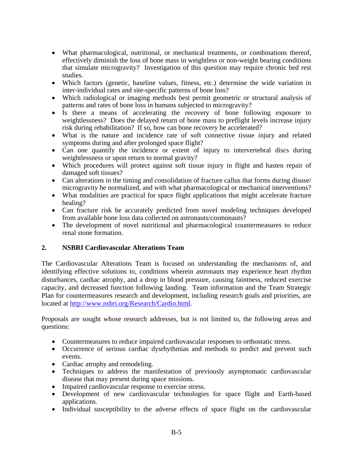- What pharmacological, nutritional, or mechanical treatments, or combinations thereof, effectively diminish the loss of bone mass in weightless or non-weight bearing conditions that simulate microgravity? Investigation of this question may require chronic bed rest studies.
- Which factors (genetic, baseline values, fitness, etc.) determine the wide variation in inter-individual rates and site-specific patterns of bone loss?
- Which radiological or imaging methods best permit geometric or structural analysis of patterns and rates of bone loss in humans subjected to microgravity?
- Is there a means of accelerating the recovery of bone following exposure to weightlessness? Does the delayed return of bone mass to preflight levels increase injury risk during rehabilitation? If so, how can bone recovery be accelerated?
- What is the nature and incidence rate of soft connective tissue injury and related symptoms during and after prolonged space flight?
- Can one quantify the incidence or extent of injury to intervertebral discs during weightlessness or upon return to normal gravity?
- Which procedures will protect against soft tissue injury in flight and hasten repair of damaged soft tissues?
- Can alterations in the timing and consolidation of fracture callus that forms during disuse/ microgravity be normalized, and with what pharmacological or mechanical interventions?
- What modalities are practical for space flight applications that might accelerate fracture healing?
- Can fracture risk be accurately predicted from novel modeling techniques developed from available bone loss data collected on astronauts/cosmonauts?
- The development of novel nutritional and pharmacological countermeasures to reduce renal stone formation.

## **2. NSBRI Cardiovascular Alterations Team**

The Cardiovascular Alterations Team is focused on understanding the mechanisms of, and identifying effective solutions to, conditions wherein astronauts may experience heart rhythm disturbances, cardiac atrophy, and a drop in blood pressure, causing faintness, reduced exercise capacity, and decreased function following landing. Team information and the Team Strategic Plan for countermeasures research and development, including research goals and priorities, are located at<http://www.nsbri.org/Research/Cardio.html>.

- Countermeasures to reduce impaired cardiovascular responses to orthostatic stress.
- Occurrence of serious cardiac dysrhythmias and methods to predict and prevent such events.
- Cardiac atrophy and remodeling.
- Techniques to address the manifestation of previously asymptomatic cardiovascular disease that may present during space missions.
- Impaired cardiovascular response to exercise stress.
- Development of new cardiovascular technologies for space flight and Earth-based applications.
- Individual susceptibility to the adverse effects of space flight on the cardiovascular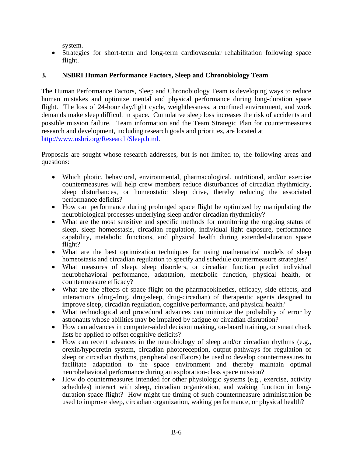system.

• Strategies for short-term and long-term cardiovascular rehabilitation following space flight.

## **3. NSBRI Human Performance Factors, Sleep and Chronobiology Team**

The Human Performance Factors, Sleep and Chronobiology Team is developing ways to reduce human mistakes and optimize mental and physical performance during long-duration space flight. The loss of 24-hour day/light cycle, weightlessness, a confined environment, and work demands make sleep difficult in space. Cumulative sleep loss increases the risk of accidents and possible mission failure. Team information and the Team Strategic Plan for countermeasures research and development, including research goals and priorities, are located at [http://www.nsbri.org/Research/Sleep.html.](http://www.nsbri.org/Research/Sleep.html)

- Which photic, behavioral, environmental, pharmacological, nutritional, and/or exercise countermeasures will help crew members reduce disturbances of circadian rhythmicity, sleep disturbances, or homeostatic sleep drive, thereby reducing the associated performance deficits?
- How can performance during prolonged space flight be optimized by manipulating the neurobiological processes underlying sleep and/or circadian rhythmicity?
- What are the most sensitive and specific methods for monitoring the ongoing status of sleep, sleep homeostasis, circadian regulation, individual light exposure, performance capability, metabolic functions, and physical health during extended-duration space flight?
- What are the best optimization techniques for using mathematical models of sleep homeostasis and circadian regulation to specify and schedule countermeasure strategies?
- What measures of sleep, sleep disorders, or circadian function predict individual neurobehavioral performance, adaptation, metabolic function, physical health, or countermeasure efficacy?
- What are the effects of space flight on the pharmacokinetics, efficacy, side effects, and interactions (drug-drug, drug-sleep, drug-circadian) of therapeutic agents designed to improve sleep, circadian regulation, cognitive performance, and physical health?
- What technological and procedural advances can minimize the probability of error by astronauts whose abilities may be impaired by fatigue or circadian disruption?
- How can advances in computer-aided decision making, on-board training, or smart check lists be applied to offset cognitive deficits?
- How can recent advances in the neurobiology of sleep and/or circadian rhythms (e.g., orexin/hypocretin system, circadian photoreception, output pathways for regulation of sleep or circadian rhythms, peripheral oscillators) be used to develop countermeasures to facilitate adaptation to the space environment and thereby maintain optimal neurobehavioral performance during an exploration-class space mission?
- How do countermeasures intended for other physiologic systems (e.g., exercise, activity schedules) interact with sleep, circadian organization, and waking function in longduration space flight? How might the timing of such countermeasure administration be used to improve sleep, circadian organization, waking performance, or physical health?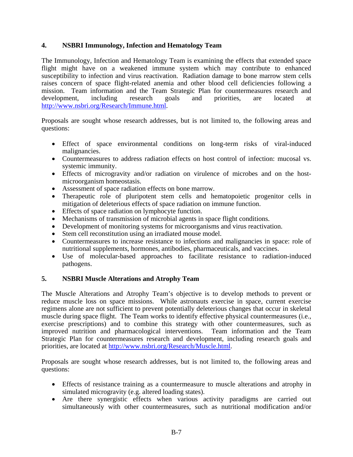## **4. NSBRI Immunology, Infection and Hematology Team**

The Immunology, Infection and Hematology Team is examining the effects that extended space flight might have on a weakened immune system which may contribute to enhanced susceptibility to infection and virus reactivation. Radiation damage to bone marrow stem cells raises concern of space flight-related anemia and other blood cell deficiencies following a mission. Team information and the Team Strategic Plan for countermeasures research and development, including research goals and priorities, are located at <http://www.nsbri.org/Research/Immune.html>.

Proposals are sought whose research addresses, but is not limited to, the following areas and questions:

- Effect of space environmental conditions on long-term risks of viral-induced malignancies.
- Countermeasures to address radiation effects on host control of infection: mucosal vs. systemic immunity.
- Effects of microgravity and/or radiation on virulence of microbes and on the hostmicroorganism homeostasis.
- Assessment of space radiation effects on bone marrow.
- Therapeutic role of pluripotent stem cells and hematopoietic progenitor cells in mitigation of deleterious effects of space radiation on immune function.
- Effects of space radiation on lymphocyte function.
- Mechanisms of transmission of microbial agents in space flight conditions.
- Development of monitoring systems for microorganisms and virus reactivation.
- Stem cell reconstitution using an irradiated mouse model.
- Countermeasures to increase resistance to infections and malignancies in space: role of nutritional supplements, hormones, antibodies, pharmaceuticals, and vaccines.
- Use of molecular-based approaches to facilitate resistance to radiation-induced pathogens.

## **5. NSBRI Muscle Alterations and Atrophy Team**

The Muscle Alterations and Atrophy Team's objective is to develop methods to prevent or reduce muscle loss on space missions. While astronauts exercise in space, current exercise regimens alone are not sufficient to prevent potentially deleterious changes that occur in skeletal muscle during space flight. The Team works to identify effective physical countermeasures (i.e., exercise prescriptions) and to combine this strategy with other countermeasures, such as improved nutrition and pharmacological interventions. Team information and the Team Strategic Plan for countermeasures research and development, including research goals and priorities, are located at [http://www.nsbri.org/Research/Muscle.html.](http://www.nsbri.org/Research/Muscle.html)

- Effects of resistance training as a countermeasure to muscle alterations and atrophy in simulated microgravity (e.g. altered loading states).
- Are there synergistic effects when various activity paradigms are carried out simultaneously with other countermeasures, such as nutritional modification and/or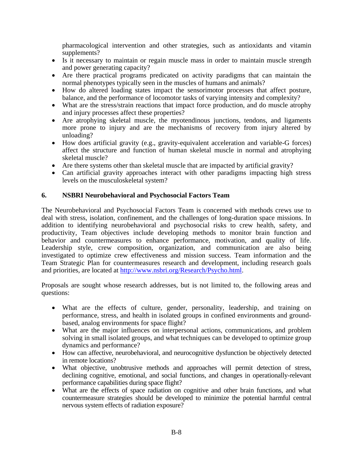pharmacological intervention and other strategies, such as antioxidants and vitamin supplements?

- Is it necessary to maintain or regain muscle mass in order to maintain muscle strength and power generating capacity?
- Are there practical programs predicated on activity paradigms that can maintain the normal phenotypes typically seen in the muscles of humans and animals?
- How do altered loading states impact the sensorimotor processes that affect posture, balance, and the performance of locomotor tasks of varying intensity and complexity?
- What are the stress/strain reactions that impact force production, and do muscle atrophy and injury processes affect these properties?
- Are atrophying skeletal muscle, the myotendinous junctions, tendons, and ligaments more prone to injury and are the mechanisms of recovery from injury altered by unloading?
- How does artificial gravity (e.g., gravity-equivalent acceleration and variable-G forces) affect the structure and function of human skeletal muscle in normal and atrophying skeletal muscle?
- Are there systems other than skeletal muscle that are impacted by artificial gravity?
- Can artificial gravity approaches interact with other paradigms impacting high stress levels on the musculoskeletal system?

## **6. NSBRI Neurobehavioral and Psychosocial Factors Team**

The Neurobehavioral and Psychosocial Factors Team is concerned with methods crews use to deal with stress, isolation, confinement, and the challenges of long-duration space missions. In addition to identifying neurobehavioral and psychosocial risks to crew health, safety, and productivity, Team objectives include developing methods to monitor brain function and behavior and countermeasures to enhance performance, motivation, and quality of life. Leadership style, crew composition, organization, and communication are also being investigated to optimize crew effectiveness and mission success. Team information and the Team Strategic Plan for countermeasures research and development, including research goals and priorities, are located at [http://www.nsbri.org/Research/Psycho.html.](http://www.nsbri.org/Research/Psycho.html)

- What are the effects of culture, gender, personality, leadership, and training on performance, stress, and health in isolated groups in confined environments and groundbased, analog environments for space flight?
- What are the major influences on interpersonal actions, communications, and problem solving in small isolated groups, and what techniques can be developed to optimize group dynamics and performance?
- How can affective, neurobehavioral, and neurocognitive dysfunction be objectively detected in remote locations?
- What objective, unobtrusive methods and approaches will permit detection of stress, declining cognitive, emotional, and social functions, and changes in operationally-relevant performance capabilities during space flight?
- What are the effects of space radiation on cognitive and other brain functions, and what countermeasure strategies should be developed to minimize the potential harmful central nervous system effects of radiation exposure?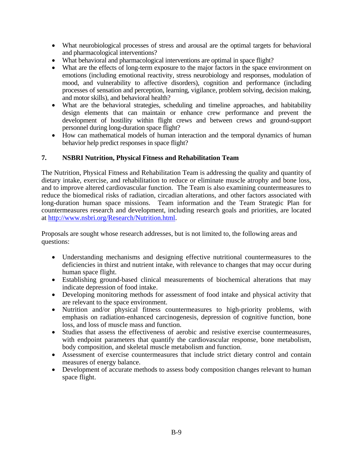- What neurobiological processes of stress and arousal are the optimal targets for behavioral and pharmacological interventions?
- What behavioral and pharmacological interventions are optimal in space flight?
- What are the effects of long-term exposure to the major factors in the space environment on emotions (including emotional reactivity, stress neurobiology and responses, modulation of mood, and vulnerability to affective disorders), cognition and performance (including processes of sensation and perception, learning, vigilance, problem solving, decision making, and motor skills), and behavioral health?
- What are the behavioral strategies, scheduling and timeline approaches, and habitability design elements that can maintain or enhance crew performance and prevent the development of hostility within flight crews and between crews and ground-support personnel during long-duration space flight?
- How can mathematical models of human interaction and the temporal dynamics of human behavior help predict responses in space flight?

## **7. NSBRI Nutrition, Physical Fitness and Rehabilitation Team**

The Nutrition, Physical Fitness and Rehabilitation Team is addressing the quality and quantity of dietary intake, exercise, and rehabilitation to reduce or eliminate muscle atrophy and bone loss, and to improve altered cardiovascular function. The Team is also examining countermeasures to reduce the biomedical risks of radiation, circadian alterations, and other factors associated with long-duration human space missions. Team information and the Team Strategic Plan for countermeasures research and development, including research goals and priorities, are located at <http://www.nsbri.org/Research/Nutrition.html>.

- Understanding mechanisms and designing effective nutritional countermeasures to the deficiencies in thirst and nutrient intake, with relevance to changes that may occur during human space flight.
- Establishing ground-based clinical measurements of biochemical alterations that may indicate depression of food intake.
- Developing monitoring methods for assessment of food intake and physical activity that are relevant to the space environment.
- Nutrition and/or physical fitness countermeasures to high-priority problems, with emphasis on radiation-enhanced carcinogenesis, depression of cognitive function, bone loss, and loss of muscle mass and function.
- Studies that assess the effectiveness of aerobic and resistive exercise countermeasures, with endpoint parameters that quantify the cardiovascular response, bone metabolism, body composition, and skeletal muscle metabolism and function.
- Assessment of exercise countermeasures that include strict dietary control and contain measures of energy balance.
- Development of accurate methods to assess body composition changes relevant to human space flight.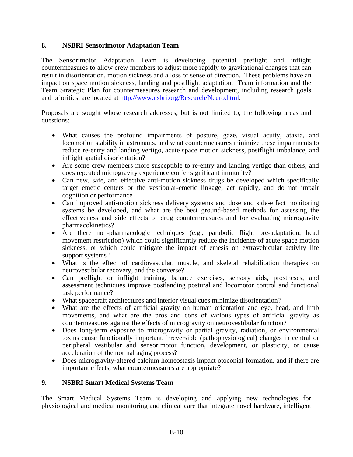## **8. NSBRI Sensorimotor Adaptation Team**

The Sensorimotor Adaptation Team is developing potential preflight and inflight countermeasures to allow crew members to adjust more rapidly to gravitational changes that can result in disorientation, motion sickness and a loss of sense of direction. These problems have an impact on space motion sickness, landing and postflight adaptation. Team information and the Team Strategic Plan for countermeasures research and development, including research goals and priorities, are located at [http://www.nsbri.org/Research/Neuro.html.](http://www.nsbri.org/Research/Neuro.html)

Proposals are sought whose research addresses, but is not limited to, the following areas and questions:

- What causes the profound impairments of posture, gaze, visual acuity, ataxia, and locomotion stability in astronauts, and what countermeasures minimize these impairments to reduce re-entry and landing vertigo, acute space motion sickness, postflight imbalance, and inflight spatial disorientation?
- Are some crew members more susceptible to re-entry and landing vertigo than others, and does repeated microgravity experience confer significant immunity?
- Can new, safe, and effective anti-motion sickness drugs be developed which specifically target emetic centers or the vestibular-emetic linkage, act rapidly, and do not impair cognition or performance?
- Can improved anti-motion sickness delivery systems and dose and side-effect monitoring systems be developed, and what are the best ground-based methods for assessing the effectiveness and side effects of drug countermeasures and for evaluating microgravity pharmacokinetics?
- Are there non-pharmacologic techniques (e.g., parabolic flight pre-adaptation, head movement restriction) which could significantly reduce the incidence of acute space motion sickness, or which could mitigate the impact of emesis on extravehicular activity life support systems?
- What is the effect of cardiovascular, muscle, and skeletal rehabilitation therapies on neurovestibular recovery, and the converse?
- Can preflight or inflight training, balance exercises, sensory aids, prostheses, and assessment techniques improve postlanding postural and locomotor control and functional task performance?
- What spacecraft architectures and interior visual cues minimize disorientation?
- What are the effects of artificial gravity on human orientation and eye, head, and limb movements, and what are the pros and cons of various types of artificial gravity as countermeasures against the effects of microgravity on neurovestibular function?
- Does long-term exposure to microgravity or partial gravity, radiation, or environmental toxins cause functionally important, irreversible (pathophysiological) changes in central or peripheral vestibular and sensorimotor function, development, or plasticity, or cause acceleration of the normal aging process?
- Does microgravity-altered calcium homeostasis impact otoconial formation, and if there are important effects, what countermeasures are appropriate?

## **9. NSBRI Smart Medical Systems Team**

The Smart Medical Systems Team is developing and applying new technologies for physiological and medical monitoring and clinical care that integrate novel hardware, intelligent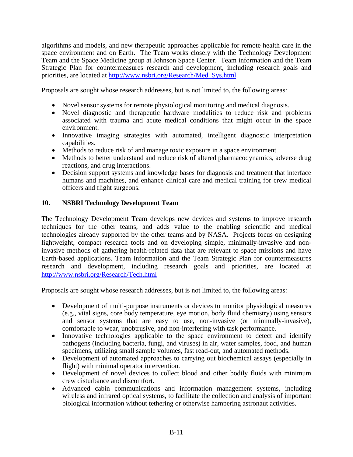algorithms and models, and new therapeutic approaches applicable for remote health care in the space environment and on Earth. The Team works closely with the Technology Development Team and the Space Medicine group at Johnson Space Center. Team information and the Team Strategic Plan for countermeasures research and development, including research goals and priorities, are located at [http://www.nsbri.org/Research/Med\\_Sys.html.](http://www.nsbri.org/Research/Med_Sys.html)

Proposals are sought whose research addresses, but is not limited to, the following areas:

- Novel sensor systems for remote physiological monitoring and medical diagnosis.
- Novel diagnostic and therapeutic hardware modalities to reduce risk and problems associated with trauma and acute medical conditions that might occur in the space environment.
- Innovative imaging strategies with automated, intelligent diagnostic interpretation capabilities.
- Methods to reduce risk of and manage toxic exposure in a space environment.
- Methods to better understand and reduce risk of altered pharmacodynamics, adverse drug reactions, and drug interactions.
- Decision support systems and knowledge bases for diagnosis and treatment that interface humans and machines, and enhance clinical care and medical training for crew medical officers and flight surgeons.

## **10. NSBRI Technology Development Team**

The Technology Development Team develops new devices and systems to improve research techniques for the other teams, and adds value to the enabling scientific and medical technologies already supported by the other teams and by NASA. Projects focus on designing lightweight, compact research tools and on developing simple, minimally-invasive and noninvasive methods of gathering health-related data that are relevant to space missions and have Earth-based applications. Team information and the Team Strategic Plan for countermeasures research and development, including research goals and priorities, are located at <http://www.nsbri.org/Research/Tech.html>

- Development of multi-purpose instruments or devices to monitor physiological measures (e.g., vital signs, core body temperature, eye motion, body fluid chemistry) using sensors and sensor systems that are easy to use, non-invasive (or minimally-invasive), comfortable to wear, unobtrusive, and non-interfering with task performance.
- Innovative technologies applicable to the space environment to detect and identify pathogens (including bacteria, fungi, and viruses) in air, water samples, food, and human specimens, utilizing small sample volumes, fast read-out, and automated methods.
- Development of automated approaches to carrying out biochemical assays (especially in flight) with minimal operator intervention.
- Development of novel devices to collect blood and other bodily fluids with minimum crew disturbance and discomfort.
- Advanced cabin communications and information management systems, including wireless and infrared optical systems, to facilitate the collection and analysis of important biological information without tethering or otherwise hampering astronaut activities.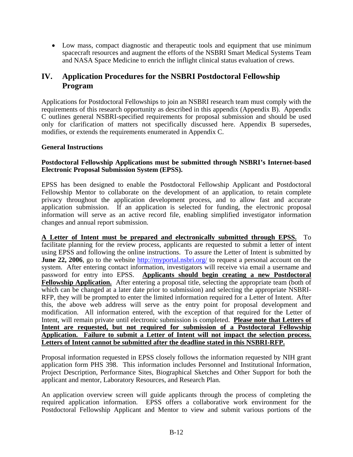• Low mass, compact diagnostic and therapeutic tools and equipment that use minimum spacecraft resources and augment the efforts of the NSBRI Smart Medical Systems Team and NASA Space Medicine to enrich the inflight clinical status evaluation of crews.

# **IV. Application Procedures for the NSBRI Postdoctoral Fellowship Program**

Applications for Postdoctoral Fellowships to join an NSBRI research team must comply with the requirements of this research opportunity as described in this appendix (Appendix B). Appendix C outlines general NSBRI-specified requirements for proposal submission and should be used only for clarification of matters not specifically discussed here. Appendix B supersedes, modifies, or extends the requirements enumerated in Appendix C.

## **General Instructions**

#### **Postdoctoral Fellowship Applications must be submitted through NSBRI's Internet-based Electronic Proposal Submission System (EPSS).**

EPSS has been designed to enable the Postdoctoral Fellowship Applicant and Postdoctoral Fellowship Mentor to collaborate on the development of an application, to retain complete privacy throughout the application development process, and to allow fast and accurate application submission. If an application is selected for funding, the electronic proposal information will serve as an active record file, enabling simplified investigator information changes and annual report submission.

**A Letter of Intent must be prepared and electronically submitted through EPSS.** To facilitate planning for the review process, applicants are requested to submit a letter of intent using EPSS and following the online instructions. To assure the Letter of Intent is submitted by **June 22, 2006**, go to the website <http://myportal.nsbri.org/> to request a personal account on the system. After entering contact information, investigators will receive via email a username and password for entry into EPSS. **Applicants should begin creating a new Postdoctoral Fellowship Application.** After entering a proposal title, selecting the appropriate team (both of which can be changed at a later date prior to submission) and selecting the appropriate NSBRI-RFP, they will be prompted to enter the limited information required for a Letter of Intent. After this, the above web address will serve as the entry point for proposal development and modification. All information entered, with the exception of that required for the Letter of Intent, will remain private until electronic submission is completed. **Please note that Letters of Intent are requested, but not required for submission of a Postdoctoral Fellowship Application. Failure to submit a Letter of Intent will not impact the selection process. Letters of Intent cannot be submitted after the deadline stated in this NSBRI-RFP.**

Proposal information requested in EPSS closely follows the information requested by NIH grant application form PHS 398. This information includes Personnel and Institutional Information, Project Description, Performance Sites, Biographical Sketches and Other Support for both the applicant and mentor, Laboratory Resources, and Research Plan.

An application overview screen will guide applicants through the process of completing the required application information. EPSS offers a collaborative work environment for the Postdoctoral Fellowship Applicant and Mentor to view and submit various portions of the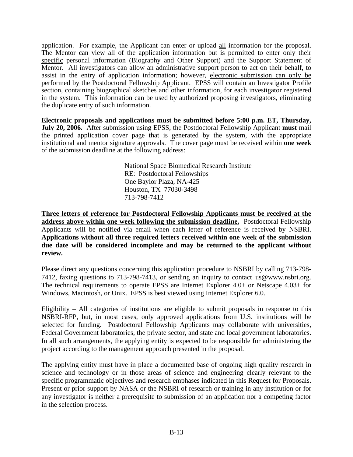application. For example, the Applicant can enter or upload all information for the proposal. The Mentor can view all of the application information but is permitted to enter only their specific personal information (Biography and Other Support) and the Support Statement of Mentor. All investigators can allow an administrative support person to act on their behalf, to assist in the entry of application information; however, electronic submission can only be performed by the Postdoctoral Fellowship Applicant. EPSS will contain an Investigator Profile section, containing biographical sketches and other information, for each investigator registered in the system. This information can be used by authorized proposing investigators, eliminating the duplicate entry of such information.

**Electronic proposals and applications must be submitted before 5:00 p.m. ET, Thursday, July 20, 2006.** After submission using EPSS, the Postdoctoral Fellowship Applicant **must** mail the printed application cover page that is generated by the system, with the appropriate institutional and mentor signature approvals. The cover page must be received within **one week** of the submission deadline at the following address:

> National Space Biomedical Research Institute RE: Postdoctoral Fellowships One Baylor Plaza, NA-425 Houston, TX 77030-3498 713-798-7412

**Three letters of reference for Postdoctoral Fellowship Applicants must be received at the address above within one week following the submission deadline.** Postdoctoral Fellowship Applicants will be notified via email when each letter of reference is received by NSBRI. **Applications without all three required letters received within one week of the submission due date will be considered incomplete and may be returned to the applicant without review.**

Please direct any questions concerning this application procedure to NSBRI by calling 713-798- 7412, faxing questions to 713-798-7413, or sending an inquiry to contact\_us@www.nsbri.org. The technical requirements to operate EPSS are Internet Explorer 4.0+ or Netscape 4.03+ for Windows, Macintosh, or Unix. EPSS is best viewed using Internet Explorer 6.0.

Eligibility – All categories of institutions are eligible to submit proposals in response to this NSBRI-RFP, but, in most cases, only approved applications from U.S. institutions will be selected for funding. Postdoctoral Fellowship Applicants may collaborate with universities, Federal Government laboratories, the private sector, and state and local government laboratories. In all such arrangements, the applying entity is expected to be responsible for administering the project according to the management approach presented in the proposal.

The applying entity must have in place a documented base of ongoing high quality research in science and technology or in those areas of science and engineering clearly relevant to the specific programmatic objectives and research emphases indicated in this Request for Proposals. Present or prior support by NASA or the NSBRI of research or training in any institution or for any investigator is neither a prerequisite to submission of an application nor a competing factor in the selection process.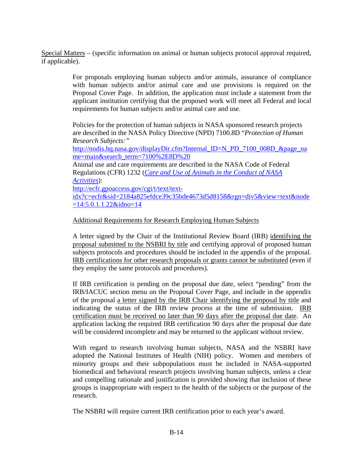Special Matters – (specific information on animal or human subjects protocol approval required, if applicable).

> For proposals employing human subjects and/or animals, assurance of compliance with human subjects and/or animal care and use provisions is required on the Proposal Cover Page. In addition, the application must include a statement from the applicant institution certifying that the proposed work will meet all Federal and local requirements for human subjects and/or animal care and use.

Policies for the protection of human subjects in NASA sponsored research projects are described in the NASA Policy Directive (NPD) 7100.8D "*Protection of Human Research Subjects:"*

[http://nodis.hq.nasa.gov/displayDir.cfm?Internal\\_ID=N\\_PD\\_7100\\_008D\\_&page\\_na](http://nodis.hq.nasa.gov/displayDir.cfm?Internal_ID=N_PD_7100_008D_&page_name=main&search_term=7100%2E8D%20) [me=main&search\\_term=7100%2E8D%20](http://nodis.hq.nasa.gov/displayDir.cfm?Internal_ID=N_PD_7100_008D_&page_name=main&search_term=7100%2E8D%20)

Animal use and care requirements are described in the NASA Code of Federal Regulations (CFR) 1232 (*[Care and Use of Animals in the Conduct of NASA](http://ecfr.gpoaccess.gov/cgi/t/text/text-idx?c=ecfr&sid=2184a825efdce39c35bde4673d5d8158&rgn=div5&view=text&node=14:5.0.1.1.22&idno=14)  [Activities](http://ecfr.gpoaccess.gov/cgi/t/text/text-idx?c=ecfr&sid=2184a825efdce39c35bde4673d5d8158&rgn=div5&view=text&node=14:5.0.1.1.22&idno=14)*):

[http://ecfr.gpoaccess.gov/cgi/t/text/text](http://ecfr.gpoaccess.gov/cgi/t/text/text-idx?c=ecfr&sid=2184a825efdce39c35bde4673d5d8158&rgn=div5&view=text&node=14:5.0.1.1.22&idno=14)[idx?c=ecfr&sid=2184a825efdce39c35bde4673d5d8158&rgn=div5&view=text&node](http://ecfr.gpoaccess.gov/cgi/t/text/text-idx?c=ecfr&sid=2184a825efdce39c35bde4673d5d8158&rgn=div5&view=text&node=14:5.0.1.1.22&idno=14)  $=14:5.0.1.1.22\&$ idno=14

## Additional Requirements for Research Employing Human Subjects

A letter signed by the Chair of the Institutional Review Board (IRB) identifying the proposal submitted to the NSBRI by title and certifying approval of proposed human subjects protocols and procedures should be included in the appendix of the proposal. IRB certifications for other research proposals or grants cannot be substituted (even if they employ the same protocols and procedures).

If IRB certification is pending on the proposal due date, select "pending" from the IRB/IACUC section menu on the Proposal Cover Page, and include in the appendix of the proposal a letter signed by the IRB Chair identifying the proposal by title and indicating the status of the IRB review process at the time of submission. IRB certification must be received no later than 90 days after the proposal due date. An application lacking the required IRB certification 90 days after the proposal due date will be considered incomplete and may be returned to the applicant without review.

With regard to research involving human subjects, NASA and the NSBRI have adopted the National Institutes of Health (NIH) policy. Women and members of minority groups and their subpopulations must be included in NASA-supported biomedical and behavioral research projects involving human subjects, unless a clear and compelling rationale and justification is provided showing that inclusion of these groups is inappropriate with respect to the health of the subjects or the purpose of the research.

The NSBRI will require current IRB certification prior to each year's award.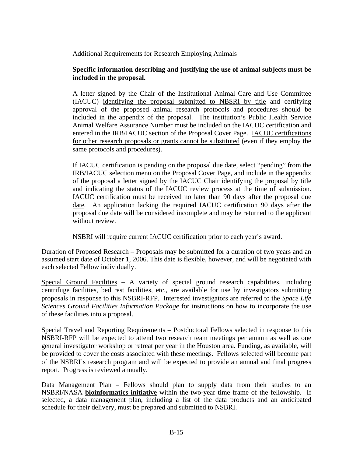## Additional Requirements for Research Employing Animals

## **Specific information describing and justifying the use of animal subjects must be included in the proposal.**

A letter signed by the Chair of the Institutional Animal Care and Use Committee (IACUC) identifying the proposal submitted to NBSRI by title and certifying approval of the proposed animal research protocols and procedures should be included in the appendix of the proposal. The institution's Public Health Service Animal Welfare Assurance Number must be included on the IACUC certification and entered in the IRB/IACUC section of the Proposal Cover Page. IACUC certifications for other research proposals or grants cannot be substituted (even if they employ the same protocols and procedures).

If IACUC certification is pending on the proposal due date, select "pending" from the IRB/IACUC selection menu on the Proposal Cover Page, and include in the appendix of the proposal a letter signed by the IACUC Chair identifying the proposal by title and indicating the status of the IACUC review process at the time of submission. IACUC certification must be received no later than 90 days after the proposal due date. An application lacking the required IACUC certification 90 days after the proposal due date will be considered incomplete and may be returned to the applicant without review.

NSBRI will require current IACUC certification prior to each year's award.

Duration of Proposed Research – Proposals may be submitted for a duration of two years and an assumed start date of October 1, 2006. This date is flexible, however, and will be negotiated with each selected Fellow individually.

Special Ground Facilities – A variety of special ground research capabilities, including centrifuge facilities, bed rest facilities, etc., are available for use by investigators submitting proposals in response to this NSBRI-RFP. Interested investigators are referred to the *Space Life Sciences Ground Facilities Information Package* for instructions on how to incorporate the use of these facilities into a proposal.

Special Travel and Reporting Requirements – Postdoctoral Fellows selected in response to this NSBRI-RFP will be expected to attend two research team meetings per annum as well as one general investigator workshop or retreat per year in the Houston area. Funding, as available, will be provided to cover the costs associated with these meetings. Fellows selected will become part of the NSBRI's research program and will be expected to provide an annual and final progress report. Progress is reviewed annually.

Data Management Plan – Fellows should plan to supply data from their studies to an NSBRI/NASA **bioinformatics initiative** within the two-year time frame of the fellowship. If selected, a data management plan, including a list of the data products and an anticipated schedule for their delivery, must be prepared and submitted to NSBRI.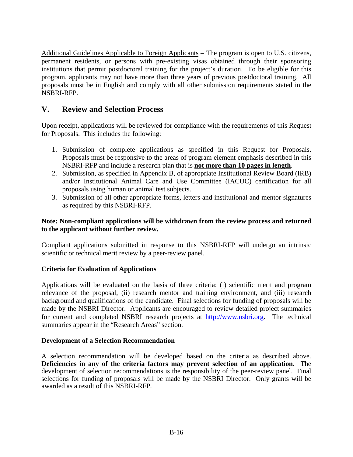Additional Guidelines Applicable to Foreign Applicants – The program is open to U.S. citizens, permanent residents, or persons with pre-existing visas obtained through their sponsoring institutions that permit postdoctoral training for the project's duration. To be eligible for this program, applicants may not have more than three years of previous postdoctoral training. All proposals must be in English and comply with all other submission requirements stated in the NSBRI-RFP.

# **V. Review and Selection Process**

Upon receipt, applications will be reviewed for compliance with the requirements of this Request for Proposals. This includes the following:

- 1. Submission of complete applications as specified in this Request for Proposals. Proposals must be responsive to the areas of program element emphasis described in this NSBRI-RFP and include a research plan that is **not more than 10 pages in length**.
- 2. Submission, as specified in Appendix B, of appropriate Institutional Review Board (IRB) and/or Institutional Animal Care and Use Committee (IACUC) certification for all proposals using human or animal test subjects.
- 3. Submission of all other appropriate forms, letters and institutional and mentor signatures as required by this NSBRI-RFP.

## **Note: Non-compliant applications will be withdrawn from the review process and returned to the applicant without further review.**

Compliant applications submitted in response to this NSBRI-RFP will undergo an intrinsic scientific or technical merit review by a peer-review panel.

## **Criteria for Evaluation of Applications**

Applications will be evaluated on the basis of three criteria: (i) scientific merit and program relevance of the proposal, (ii) research mentor and training environment, and (iii) research background and qualifications of the candidate. Final selections for funding of proposals will be made by the NSBRI Director. Applicants are encouraged to review detailed project summaries for current and completed NSBRI research projects at [http://www.nsbri.org](http://www.nsbri.org/). The technical summaries appear in the "Research Areas" section.

#### **Development of a Selection Recommendation**

A selection recommendation will be developed based on the criteria as described above. **Deficiencies in any of the criteria factors may prevent selection of an application.** The development of selection recommendations is the responsibility of the peer-review panel. Final selections for funding of proposals will be made by the NSBRI Director. Only grants will be awarded as a result of this NSBRI-RFP.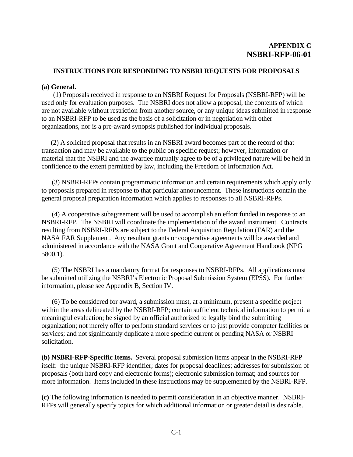#### **INSTRUCTIONS FOR RESPONDING TO NSBRI REQUESTS FOR PROPOSALS**

#### **(a) General.**

 (1) Proposals received in response to an NSBRI Request for Proposals (NSBRI-RFP) will be used only for evaluation purposes. The NSBRI does not allow a proposal, the contents of which are not available without restriction from another source, or any unique ideas submitted in response to an NSBRI-RFP to be used as the basis of a solicitation or in negotiation with other organizations, nor is a pre-award synopsis published for individual proposals.

(2) A solicited proposal that results in an NSBRI award becomes part of the record of that transaction and may be available to the public on specific request; however, information or material that the NSBRI and the awardee mutually agree to be of a privileged nature will be held in confidence to the extent permitted by law, including the Freedom of Information Act.

(3) NSBRI-RFPs contain programmatic information and certain requirements which apply only to proposals prepared in response to that particular announcement. These instructions contain the general proposal preparation information which applies to responses to all NSBRI-RFPs.

(4) A cooperative subagreement will be used to accomplish an effort funded in response to an NSBRI-RFP. The NSBRI will coordinate the implementation of the award instrument. Contracts resulting from NSBRI-RFPs are subject to the Federal Acquisition Regulation (FAR) and the NASA FAR Supplement. Any resultant grants or cooperative agreements will be awarded and administered in accordance with the NASA Grant and Cooperative Agreement Handbook (NPG 5800.1).

(5) The NSBRI has a mandatory format for responses to NSBRI-RFPs. All applications must be submitted utilizing the NSBRI's Electronic Proposal Submission System (EPSS). For further information, please see Appendix B, Section IV.

(6) To be considered for award, a submission must, at a minimum, present a specific project within the areas delineated by the NSBRI-RFP; contain sufficient technical information to permit a meaningful evaluation; be signed by an official authorized to legally bind the submitting organization; not merely offer to perform standard services or to just provide computer facilities or services; and not significantly duplicate a more specific current or pending NASA or NSBRI solicitation.

**(b) NSBRI-RFP-Specific Items.** Several proposal submission items appear in the NSBRI-RFP itself: the unique NSBRI-RFP identifier; dates for proposal deadlines; addresses for submission of proposals (both hard copy and electronic forms); electronic submission format; and sources for more information. Items included in these instructions may be supplemented by the NSBRI-RFP.

**(c)** The following information is needed to permit consideration in an objective manner. NSBRI-RFPs will generally specify topics for which additional information or greater detail is desirable.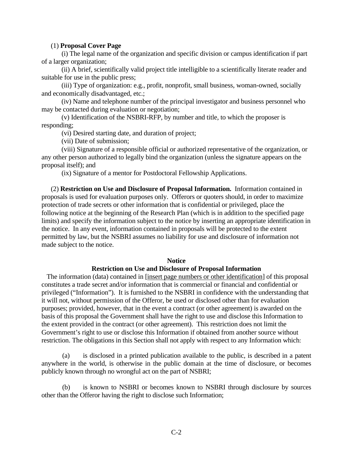#### (1) **Proposal Cover Page**

 (i) The legal name of the organization and specific division or campus identification if part of a larger organization;

 (ii) A brief, scientifically valid project title intelligible to a scientifically literate reader and suitable for use in the public press;

 (iii) Type of organization: e.g., profit, nonprofit, small business, woman-owned, socially and economically disadvantaged, etc.;

 (iv) Name and telephone number of the principal investigator and business personnel who may be contacted during evaluation or negotiation;

 (v) Identification of the NSBRI-RFP, by number and title, to which the proposer is responding;

(vi) Desired starting date, and duration of project;

(vii) Date of submission;

 (viii) Signature of a responsible official or authorized representative of the organization, or any other person authorized to legally bind the organization (unless the signature appears on the proposal itself); and

(ix) Signature of a mentor for Postdoctoral Fellowship Applications.

 (2) **Restriction on Use and Disclosure of Proposal Information.** Information contained in proposals is used for evaluation purposes only. Offerors or quoters should, in order to maximize protection of trade secrets or other information that is confidential or privileged, place the following notice at the beginning of the Research Plan (which is in addition to the specified page limits) and specify the information subject to the notice by inserting an appropriate identification in the notice. In any event, information contained in proposals will be protected to the extent permitted by law, but the NSBRI assumes no liability for use and disclosure of information not made subject to the notice.

#### **Notice**

#### **Restriction on Use and Disclosure of Proposal Information**

The information (data) contained in [insert page numbers or other identification] of this proposal constitutes a trade secret and/or information that is commercial or financial and confidential or privileged ("Information"). It is furnished to the NSBRI in confidence with the understanding that it will not, without permission of the Offeror, be used or disclosed other than for evaluation purposes; provided, however, that in the event a contract (or other agreement) is awarded on the basis of this proposal the Government shall have the right to use and disclose this Information to the extent provided in the contract (or other agreement). This restriction does not limit the Government's right to use or disclose this Information if obtained from another source without restriction. The obligations in this Section shall not apply with respect to any Information which:

(a) is disclosed in a printed publication available to the public, is described in a patent anywhere in the world, is otherwise in the public domain at the time of disclosure, or becomes publicly known through no wrongful act on the part of NSBRI;

(b) is known to NSBRI or becomes known to NSBRI through disclosure by sources other than the Offeror having the right to disclose such Information;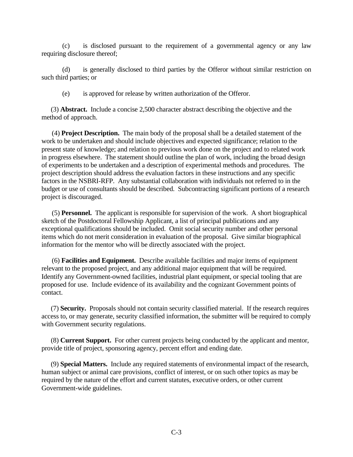(c) is disclosed pursuant to the requirement of a governmental agency or any law requiring disclosure thereof;

(d) is generally disclosed to third parties by the Offeror without similar restriction on such third parties; or

(e) is approved for release by written authorization of the Offeror.

 (3) **Abstract.** Include a concise 2,500 character abstract describing the objective and the method of approach.

 (4) **Project Description.** The main body of the proposal shall be a detailed statement of the work to be undertaken and should include objectives and expected significance; relation to the present state of knowledge; and relation to previous work done on the project and to related work in progress elsewhere. The statement should outline the plan of work, including the broad design of experiments to be undertaken and a description of experimental methods and procedures. The project description should address the evaluation factors in these instructions and any specific factors in the NSBRI-RFP. Any substantial collaboration with individuals not referred to in the budget or use of consultants should be described. Subcontracting significant portions of a research project is discouraged.

 (5) **Personnel.** The applicant is responsible for supervision of the work. A short biographical sketch of the Postdoctoral Fellowship Applicant, a list of principal publications and any exceptional qualifications should be included. Omit social security number and other personal items which do not merit consideration in evaluation of the proposal. Give similar biographical information for the mentor who will be directly associated with the project.

 (6) **Facilities and Equipment.** Describe available facilities and major items of equipment relevant to the proposed project, and any additional major equipment that will be required. Identify any Government-owned facilities, industrial plant equipment, or special tooling that are proposed for use. Include evidence of its availability and the cognizant Government points of contact.

 (7) **Security.** Proposals should not contain security classified material. If the research requires access to, or may generate, security classified information, the submitter will be required to comply with Government security regulations.

 (8) **Current Support.** For other current projects being conducted by the applicant and mentor, provide title of project, sponsoring agency, percent effort and ending date.

 (9) **Special Matters.** Include any required statements of environmental impact of the research, human subject or animal care provisions, conflict of interest, or on such other topics as may be required by the nature of the effort and current statutes, executive orders, or other current Government-wide guidelines.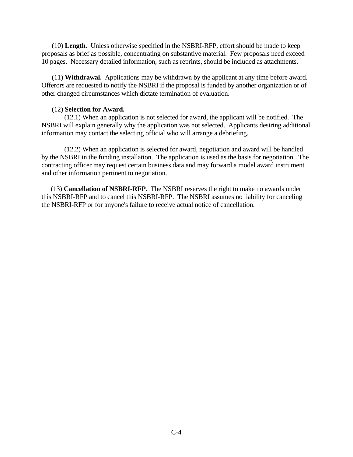(10) **Length.** Unless otherwise specified in the NSBRI-RFP, effort should be made to keep proposals as brief as possible, concentrating on substantive material. Few proposals need exceed 10 pages. Necessary detailed information, such as reprints, should be included as attachments.

 (11) **Withdrawal.** Applications may be withdrawn by the applicant at any time before award. Offerors are requested to notify the NSBRI if the proposal is funded by another organization or of other changed circumstances which dictate termination of evaluation.

#### (12) **Selection for Award.**

(12.1) When an application is not selected for award, the applicant will be notified. The NSBRI will explain generally why the application was not selected. Applicants desiring additional information may contact the selecting official who will arrange a debriefing.

(12.2) When an application is selected for award, negotiation and award will be handled by the NSBRI in the funding installation. The application is used as the basis for negotiation. The contracting officer may request certain business data and may forward a model award instrument and other information pertinent to negotiation.

 (13) **Cancellation of NSBRI-RFP.** The NSBRI reserves the right to make no awards under this NSBRI-RFP and to cancel this NSBRI-RFP. The NSBRI assumes no liability for canceling the NSBRI-RFP or for anyone's failure to receive actual notice of cancellation.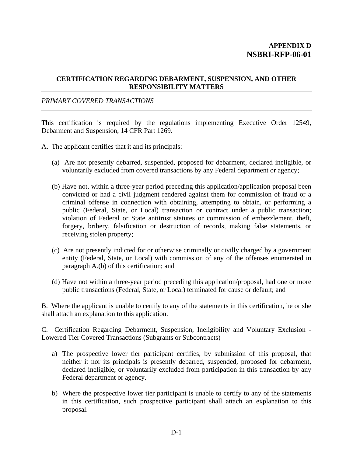#### **CERTIFICATION REGARDING DEBARMENT, SUSPENSION, AND OTHER RESPONSIBILITY MATTERS**

## *PRIMARY COVERED TRANSACTIONS*

This certification is required by the regulations implementing Executive Order 12549, Debarment and Suspension, 14 CFR Part 1269.

- A. The applicant certifies that it and its principals:
	- (a) Are not presently debarred, suspended, proposed for debarment, declared ineligible, or voluntarily excluded from covered transactions by any Federal department or agency;
	- (b) Have not, within a three-year period preceding this application/application proposal been convicted or had a civil judgment rendered against them for commission of fraud or a criminal offense in connection with obtaining, attempting to obtain, or performing a public (Federal, State, or Local) transaction or contract under a public transaction; violation of Federal or State antitrust statutes or commission of embezzlement, theft, forgery, bribery, falsification or destruction of records, making false statements, or receiving stolen property;
	- (c) Are not presently indicted for or otherwise criminally or civilly charged by a government entity (Federal, State, or Local) with commission of any of the offenses enumerated in paragraph A.(b) of this certification; and
	- (d) Have not within a three-year period preceding this application/proposal, had one or more public transactions (Federal, State, or Local) terminated for cause or default; and

B. Where the applicant is unable to certify to any of the statements in this certification, he or she shall attach an explanation to this application.

C. Certification Regarding Debarment, Suspension, Ineligibility and Voluntary Exclusion - Lowered Tier Covered Transactions (Subgrants or Subcontracts)

- a) The prospective lower tier participant certifies, by submission of this proposal, that neither it nor its principals is presently debarred, suspended, proposed for debarment, declared ineligible, or voluntarily excluded from participation in this transaction by any Federal department or agency.
- b) Where the prospective lower tier participant is unable to certify to any of the statements in this certification, such prospective participant shall attach an explanation to this proposal.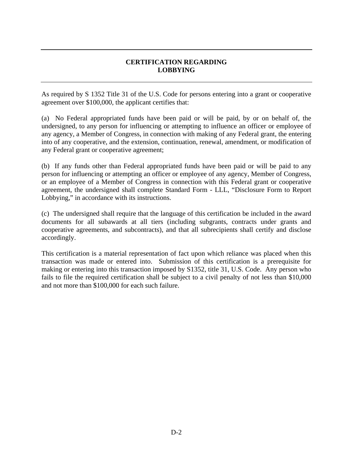## **CERTIFICATION REGARDING LOBBYING**

As required by S 1352 Title 31 of the U.S. Code for persons entering into a grant or cooperative agreement over \$100,000, the applicant certifies that:

(a) No Federal appropriated funds have been paid or will be paid, by or on behalf of, the undersigned, to any person for influencing or attempting to influence an officer or employee of any agency, a Member of Congress, in connection with making of any Federal grant, the entering into of any cooperative, and the extension, continuation, renewal, amendment, or modification of any Federal grant or cooperative agreement;

(b) If any funds other than Federal appropriated funds have been paid or will be paid to any person for influencing or attempting an officer or employee of any agency, Member of Congress, or an employee of a Member of Congress in connection with this Federal grant or cooperative agreement, the undersigned shall complete Standard Form - LLL, "Disclosure Form to Report Lobbying," in accordance with its instructions.

(c) The undersigned shall require that the language of this certification be included in the award documents for all subawards at all tiers (including subgrants, contracts under grants and cooperative agreements, and subcontracts), and that all subrecipients shall certify and disclose accordingly.

This certification is a material representation of fact upon which reliance was placed when this transaction was made or entered into. Submission of this certification is a prerequisite for making or entering into this transaction imposed by S1352, title 31, U.S. Code. Any person who fails to file the required certification shall be subject to a civil penalty of not less than \$10,000 and not more than \$100,000 for each such failure.